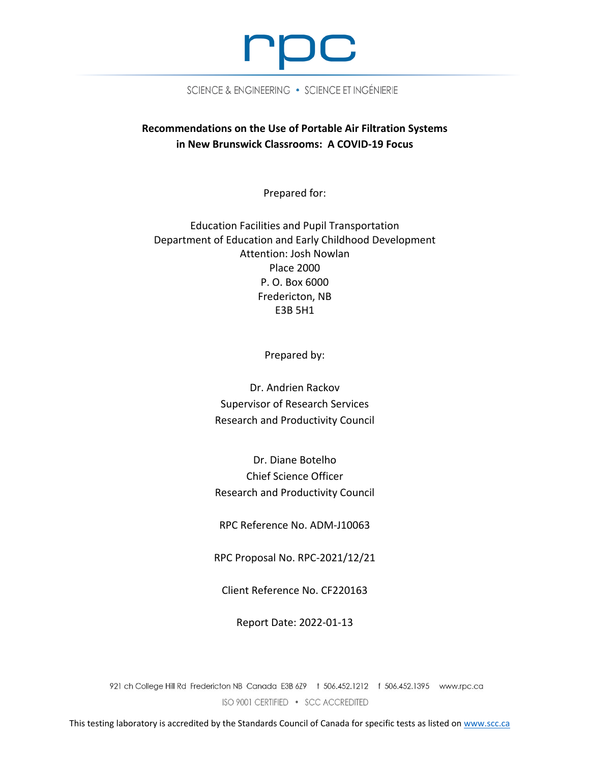

SCIENCE & ENGINEERING . SCIENCE ET INGÉNIERIE

# **Recommendations on the Use of Portable Air Filtration Systems in New Brunswick Classrooms: A COVID-19 Focus**

Prepared for:

Education Facilities and Pupil Transportation Department of Education and Early Childhood Development Attention: Josh Nowlan Place 2000 P. O. Box 6000 Fredericton, NB E3B 5H1

Prepared by:

Dr. Andrien Rackov Supervisor of Research Services Research and Productivity Council

Dr. Diane Botelho Chief Science Officer Research and Productivity Council

RPC Reference No. ADM-J10063

RPC Proposal No. RPC-2021/12/21

Client Reference No. CF220163

Report Date: 2022-01-13

921 ch College Hill Rd Fredericton NB Canada E3B 6Z9 + 506.452.1212 f 506.452.1395 www.rpc.ca ISO 9001 CERTIFIED • SCC ACCREDITED

This testing laboratory is accredited by the Standards Council of Canada for specific tests as listed o[n www.scc.ca](http://www.scc.ca/)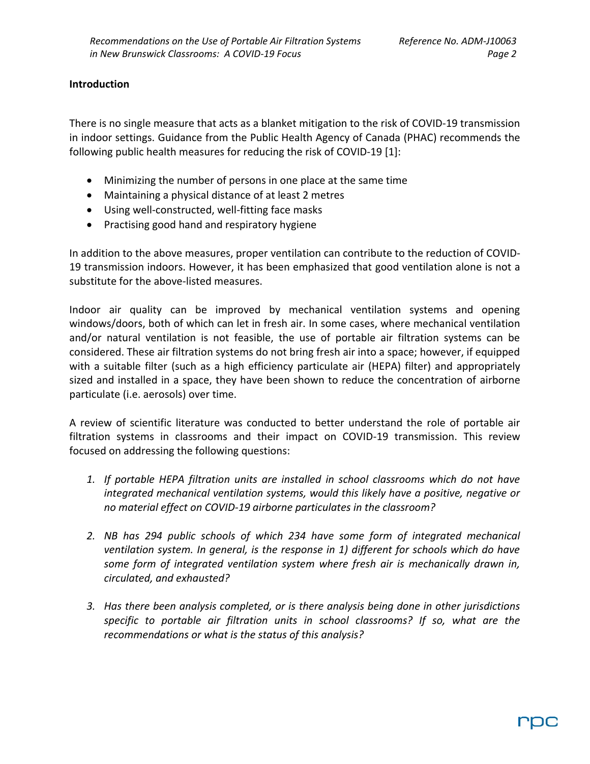#### **Introduction**

There is no single measure that acts as a blanket mitigation to the risk of COVID-19 transmission in indoor settings. Guidance from the Public Health Agency of Canada (PHAC) recommends the following public health measures for reducing the risk of COVID-19 [1]:

- Minimizing the number of persons in one place at the same time
- Maintaining a physical distance of at least 2 metres
- Using well-constructed, well-fitting face masks
- Practising good hand and respiratory hygiene

In addition to the above measures, proper ventilation can contribute to the reduction of COVID-19 transmission indoors. However, it has been emphasized that good ventilation alone is not a substitute for the above-listed measures.

Indoor air quality can be improved by mechanical ventilation systems and opening windows/doors, both of which can let in fresh air. In some cases, where mechanical ventilation and/or natural ventilation is not feasible, the use of portable air filtration systems can be considered. These air filtration systems do not bring fresh air into a space; however, if equipped with a suitable filter (such as a high efficiency particulate air (HEPA) filter) and appropriately sized and installed in a space, they have been shown to reduce the concentration of airborne particulate (i.e. aerosols) over time.

A review of scientific literature was conducted to better understand the role of portable air filtration systems in classrooms and their impact on COVID-19 transmission. This review focused on addressing the following questions:

- *1. If portable HEPA filtration units are installed in school classrooms which do not have integrated mechanical ventilation systems, would this likely have a positive, negative or no material effect on COVID-19 airborne particulates in the classroom?*
- *2. NB has 294 public schools of which 234 have some form of integrated mechanical ventilation system. In general, is the response in 1) different for schools which do have some form of integrated ventilation system where fresh air is mechanically drawn in, circulated, and exhausted?*
- *3. Has there been analysis completed, or is there analysis being done in other jurisdictions specific to portable air filtration units in school classrooms? If so, what are the recommendations or what is the status of this analysis?*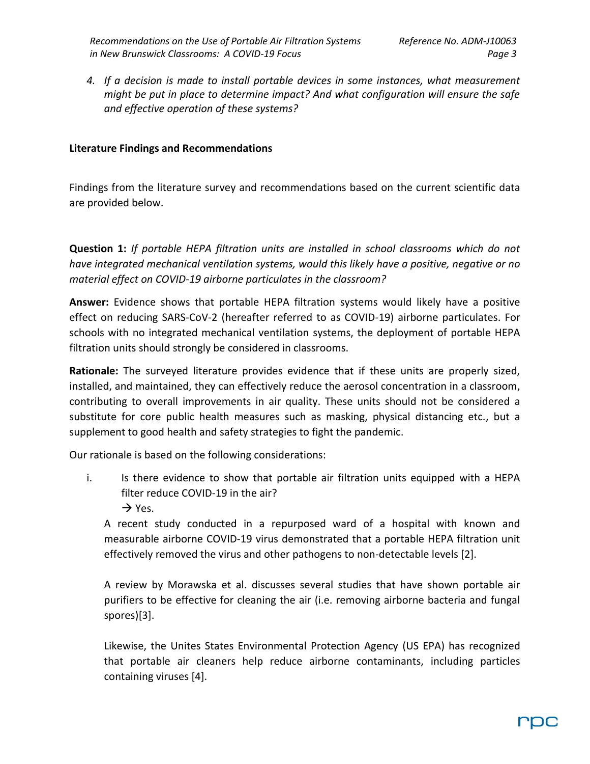*4. If a decision is made to install portable devices in some instances, what measurement might be put in place to determine impact? And what configuration will ensure the safe and effective operation of these systems?*

### **Literature Findings and Recommendations**

Findings from the literature survey and recommendations based on the current scientific data are provided below.

**Question 1:** *If portable HEPA filtration units are installed in school classrooms which do not have integrated mechanical ventilation systems, would this likely have a positive, negative or no material effect on COVID-19 airborne particulates in the classroom?*

**Answer:** Evidence shows that portable HEPA filtration systems would likely have a positive effect on reducing SARS-CoV-2 (hereafter referred to as COVID-19) airborne particulates. For schools with no integrated mechanical ventilation systems, the deployment of portable HEPA filtration units should strongly be considered in classrooms.

**Rationale:** The surveyed literature provides evidence that if these units are properly sized, installed, and maintained, they can effectively reduce the aerosol concentration in a classroom, contributing to overall improvements in air quality. These units should not be considered a substitute for core public health measures such as masking, physical distancing etc., but a supplement to good health and safety strategies to fight the pandemic.

Our rationale is based on the following considerations:

- i. Is there evidence to show that portable air filtration units equipped with a HEPA filter reduce COVID-19 in the air?
	- $\rightarrow$  Yes.

A recent study conducted in a repurposed ward of a hospital with known and measurable airborne COVID-19 virus demonstrated that a portable HEPA filtration unit effectively removed the virus and other pathogens to non-detectable levels [2].

A review by Morawska et al. discusses several studies that have shown portable air purifiers to be effective for cleaning the air (i.e. removing airborne bacteria and fungal spores)[3].

Likewise, the Unites States Environmental Protection Agency (US EPA) has recognized that portable air cleaners help reduce airborne contaminants, including particles containing viruses [4].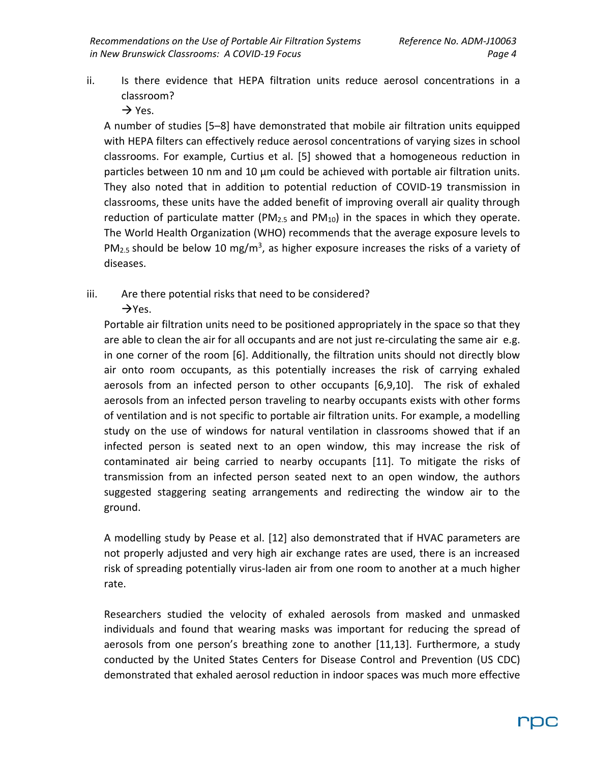- ii. Is there evidence that HEPA filtration units reduce aerosol concentrations in a classroom?
	- $\rightarrow$  Yes.

A number of studies [5–8] have demonstrated that mobile air filtration units equipped with HEPA filters can effectively reduce aerosol concentrations of varying sizes in school classrooms. For example, Curtius et al. [5] showed that a homogeneous reduction in particles between 10 nm and 10 µm could be achieved with portable air filtration units. They also noted that in addition to potential reduction of COVID-19 transmission in classrooms, these units have the added benefit of improving overall air quality through reduction of particulate matter ( $PM_{2.5}$  and  $PM_{10}$ ) in the spaces in which they operate. The World Health Organization (WHO) recommends that the average exposure levels to PM<sub>2.5</sub> should be below 10 mg/m<sup>3</sup>, as higher exposure increases the risks of a variety of diseases.

iii. Are there potential risks that need to be considered?  $\rightarrow$ Yes.

Portable air filtration units need to be positioned appropriately in the space so that they are able to clean the air for all occupants and are not just re-circulating the same air e.g. in one corner of the room [6]. Additionally, the filtration units should not directly blow air onto room occupants, as this potentially increases the risk of carrying exhaled aerosols from an infected person to other occupants [6,9,10]. The risk of exhaled aerosols from an infected person traveling to nearby occupants exists with other forms of ventilation and is not specific to portable air filtration units. For example, a modelling study on the use of windows for natural ventilation in classrooms showed that if an infected person is seated next to an open window, this may increase the risk of contaminated air being carried to nearby occupants [11]. To mitigate the risks of transmission from an infected person seated next to an open window, the authors suggested staggering seating arrangements and redirecting the window air to the ground.

A modelling study by Pease et al. [12] also demonstrated that if HVAC parameters are not properly adjusted and very high air exchange rates are used, there is an increased risk of spreading potentially virus-laden air from one room to another at a much higher rate.

Researchers studied the velocity of exhaled aerosols from masked and unmasked individuals and found that wearing masks was important for reducing the spread of aerosols from one person's breathing zone to another [11,13]. Furthermore, a study conducted by the United States Centers for Disease Control and Prevention (US CDC) demonstrated that exhaled aerosol reduction in indoor spaces was much more effective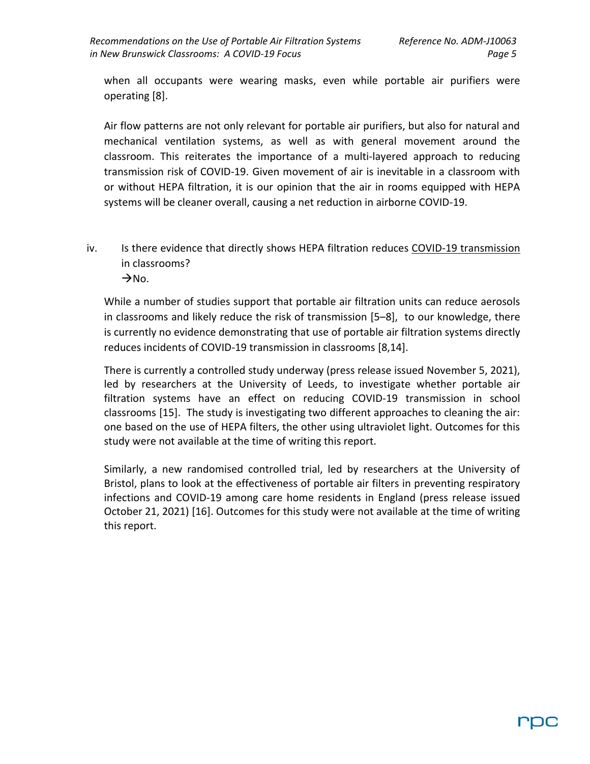when all occupants were wearing masks, even while portable air purifiers were operating [8].

Air flow patterns are not only relevant for portable air purifiers, but also for natural and mechanical ventilation systems, as well as with general movement around the classroom. This reiterates the importance of a multi-layered approach to reducing transmission risk of COVID-19. Given movement of air is inevitable in a classroom with or without HEPA filtration, it is our opinion that the air in rooms equipped with HEPA systems will be cleaner overall, causing a net reduction in airborne COVID-19.

iv. Is there evidence that directly shows HEPA filtration reduces COVID-19 transmission in classrooms?  $\rightarrow$ No.

While a number of studies support that portable air filtration units can reduce aerosols in classrooms and likely reduce the risk of transmission [5–8], to our knowledge, there is currently no evidence demonstrating that use of portable air filtration systems directly reduces incidents of COVID-19 transmission in classrooms [8,14].

There is currently a controlled study underway (press release issued November 5, 2021), led by researchers at the University of Leeds, to investigate whether portable air filtration systems have an effect on reducing COVID-19 transmission in school classrooms [15]. The study is investigating two different approaches to cleaning the air: one based on the use of HEPA filters, the other using ultraviolet light. Outcomes for this study were not available at the time of writing this report.

Similarly, a new randomised controlled trial, led by researchers at the University of Bristol, plans to look at the effectiveness of portable air filters in preventing respiratory infections and COVID-19 among care home residents in England (press release issued October 21, 2021) [16]. Outcomes for this study were not available at the time of writing this report.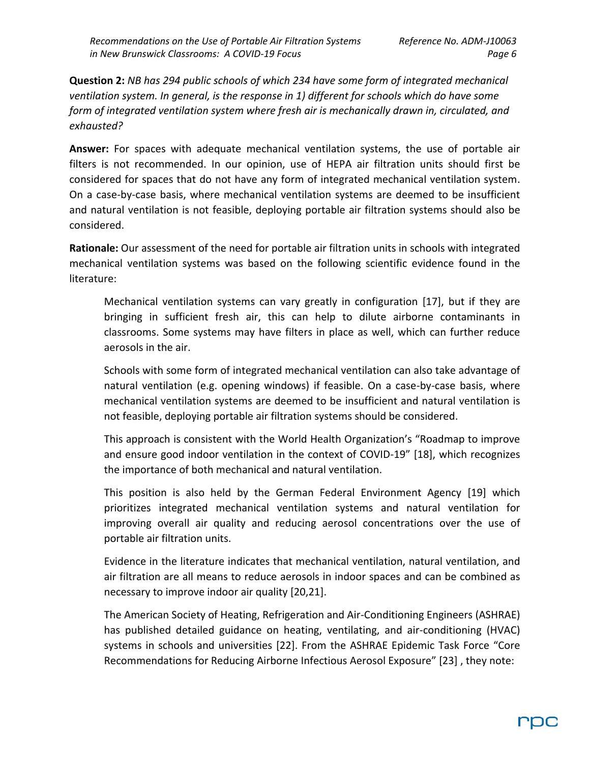**Question 2:** *NB has 294 public schools of which 234 have some form of integrated mechanical ventilation system. In general, is the response in 1) different for schools which do have some form of integrated ventilation system where fresh air is mechanically drawn in, circulated, and exhausted?*

**Answer:** For spaces with adequate mechanical ventilation systems, the use of portable air filters is not recommended. In our opinion, use of HEPA air filtration units should first be considered for spaces that do not have any form of integrated mechanical ventilation system. On a case-by-case basis, where mechanical ventilation systems are deemed to be insufficient and natural ventilation is not feasible, deploying portable air filtration systems should also be considered.

**Rationale:** Our assessment of the need for portable air filtration units in schools with integrated mechanical ventilation systems was based on the following scientific evidence found in the literature:

Mechanical ventilation systems can vary greatly in configuration [17], but if they are bringing in sufficient fresh air, this can help to dilute airborne contaminants in classrooms. Some systems may have filters in place as well, which can further reduce aerosols in the air.

Schools with some form of integrated mechanical ventilation can also take advantage of natural ventilation (e.g. opening windows) if feasible. On a case-by-case basis, where mechanical ventilation systems are deemed to be insufficient and natural ventilation is not feasible, deploying portable air filtration systems should be considered.

This approach is consistent with the World Health Organization's "Roadmap to improve and ensure good indoor ventilation in the context of COVID-19" [18], which recognizes the importance of both mechanical and natural ventilation.

This position is also held by the German Federal Environment Agency [19] which prioritizes integrated mechanical ventilation systems and natural ventilation for improving overall air quality and reducing aerosol concentrations over the use of portable air filtration units.

Evidence in the literature indicates that mechanical ventilation, natural ventilation, and air filtration are all means to reduce aerosols in indoor spaces and can be combined as necessary to improve indoor air quality [20,21].

The American Society of Heating, Refrigeration and Air-Conditioning Engineers (ASHRAE) has published detailed guidance on heating, ventilating, and air-conditioning (HVAC) systems in schools and universities [22]. From the ASHRAE Epidemic Task Force "Core Recommendations for Reducing Airborne Infectious Aerosol Exposure" [23] , they note: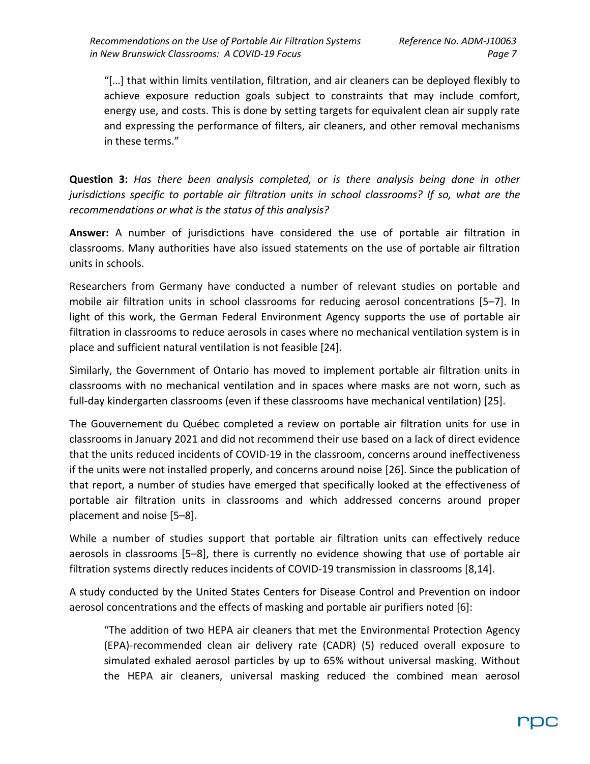"[…] that within limits ventilation, filtration, and air cleaners can be deployed flexibly to achieve exposure reduction goals subject to constraints that may include comfort, energy use, and costs. This is done by setting targets for equivalent clean air supply rate and expressing the performance of filters, air cleaners, and other removal mechanisms in these terms."

**Question 3:** *Has there been analysis completed, or is there analysis being done in other jurisdictions specific to portable air filtration units in school classrooms? If so, what are the recommendations or what is the status of this analysis?*

**Answer:** A number of jurisdictions have considered the use of portable air filtration in classrooms. Many authorities have also issued statements on the use of portable air filtration units in schools.

Researchers from Germany have conducted a number of relevant studies on portable and mobile air filtration units in school classrooms for reducing aerosol concentrations [5–7]. In light of this work, the German Federal Environment Agency supports the use of portable air filtration in classrooms to reduce aerosols in cases where no mechanical ventilation system is in place and sufficient natural ventilation is not feasible [24].

Similarly, the Government of Ontario has moved to implement portable air filtration units in classrooms with no mechanical ventilation and in spaces where masks are not worn, such as full-day kindergarten classrooms (even if these classrooms have mechanical ventilation) [25].

The Gouvernement du Québec completed a review on portable air filtration units for use in classrooms in January 2021 and did not recommend their use based on a lack of direct evidence that the units reduced incidents of COVID-19 in the classroom, concerns around ineffectiveness if the units were not installed properly, and concerns around noise [26]. Since the publication of that report, a number of studies have emerged that specifically looked at the effectiveness of portable air filtration units in classrooms and which addressed concerns around proper placement and noise [5–8].

While a number of studies support that portable air filtration units can effectively reduce aerosols in classrooms [5–8], there is currently no evidence showing that use of portable air filtration systems directly reduces incidents of COVID-19 transmission in classrooms [8,14].

A study conducted by the United States Centers for Disease Control and Prevention on indoor aerosol concentrations and the effects of masking and portable air purifiers noted [6]:

"The addition of two HEPA air cleaners that met the Environmental Protection Agency (EPA)-recommended clean air delivery rate (CADR) (5) reduced overall exposure to simulated exhaled aerosol particles by up to 65% without universal masking. Without the HEPA air cleaners, universal masking reduced the combined mean aerosol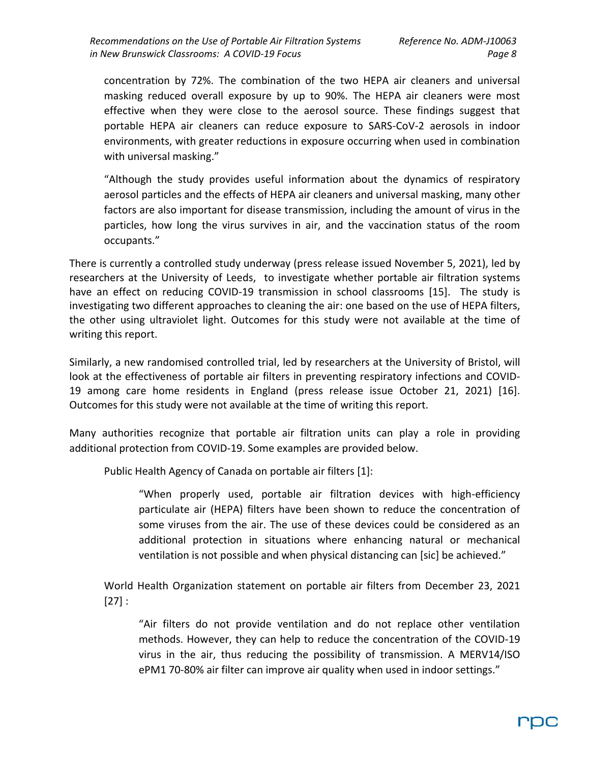concentration by 72%. The combination of the two HEPA air cleaners and universal masking reduced overall exposure by up to 90%. The HEPA air cleaners were most effective when they were close to the aerosol source. These findings suggest that portable HEPA air cleaners can reduce exposure to SARS-CoV-2 aerosols in indoor environments, with greater reductions in exposure occurring when used in combination with universal masking."

"Although the study provides useful information about the dynamics of respiratory aerosol particles and the effects of HEPA air cleaners and universal masking, many other factors are also important for disease transmission, including the amount of virus in the particles, how long the virus survives in air, and the vaccination status of the room occupants."

There is currently a controlled study underway (press release issued November 5, 2021), led by researchers at the University of Leeds, to investigate whether portable air filtration systems have an effect on reducing COVID-19 transmission in school classrooms [15]. The study is investigating two different approaches to cleaning the air: one based on the use of HEPA filters, the other using ultraviolet light. Outcomes for this study were not available at the time of writing this report.

Similarly, a new randomised controlled trial, led by researchers at the University of Bristol, will look at the effectiveness of portable air filters in preventing respiratory infections and COVID-19 among care home residents in England (press release issue October 21, 2021) [16]. Outcomes for this study were not available at the time of writing this report.

Many authorities recognize that portable air filtration units can play a role in providing additional protection from COVID-19. Some examples are provided below.

Public Health Agency of Canada on portable air filters [1]:

"When properly used, portable air filtration devices with high-efficiency particulate air (HEPA) filters have been shown to reduce the concentration of some viruses from the air. The use of these devices could be considered as an additional protection in situations where enhancing natural or mechanical ventilation is not possible and when physical distancing can [sic] be achieved."

World Health Organization statement on portable air filters from December 23, 2021  $[27]$  :

"Air filters do not provide ventilation and do not replace other ventilation methods. However, they can help to reduce the concentration of the COVID-19 virus in the air, thus reducing the possibility of transmission. A MERV14/ISO ePM1 70-80% air filter can improve air quality when used in indoor settings."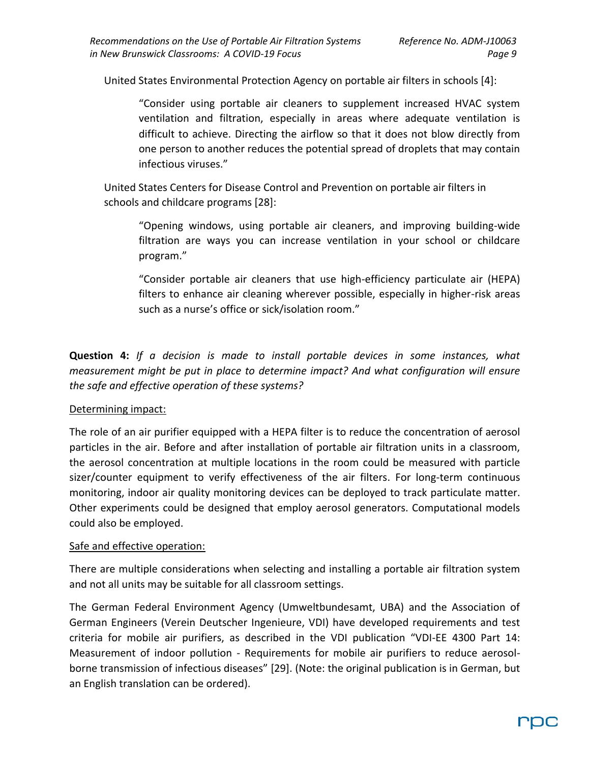United States Environmental Protection Agency on portable air filters in schools [4]:

"Consider using portable air cleaners to supplement increased HVAC system ventilation and filtration, especially in areas where adequate ventilation is difficult to achieve. Directing the airflow so that it does not blow directly from one person to another reduces the potential spread of droplets that may contain infectious viruses."

United States Centers for Disease Control and Prevention on portable air filters in schools and childcare programs [28]:

"Opening windows, using portable air cleaners, and improving building-wide filtration are ways you can increase ventilation in your school or childcare program."

"Consider portable air cleaners that use high-efficiency particulate air (HEPA) filters to enhance air cleaning wherever possible, especially in higher-risk areas such as a nurse's office or sick/isolation room."

**Question 4:** *If a decision is made to install portable devices in some instances, what measurement might be put in place to determine impact? And what configuration will ensure the safe and effective operation of these systems?*

#### Determining impact:

The role of an air purifier equipped with a HEPA filter is to reduce the concentration of aerosol particles in the air. Before and after installation of portable air filtration units in a classroom, the aerosol concentration at multiple locations in the room could be measured with particle sizer/counter equipment to verify effectiveness of the air filters. For long-term continuous monitoring, indoor air quality monitoring devices can be deployed to track particulate matter. Other experiments could be designed that employ aerosol generators. Computational models could also be employed.

#### Safe and effective operation:

There are multiple considerations when selecting and installing a portable air filtration system and not all units may be suitable for all classroom settings.

The German Federal Environment Agency (Umweltbundesamt, UBA) and the Association of German Engineers (Verein Deutscher Ingenieure, VDI) have developed requirements and test criteria for mobile air purifiers, as described in the VDI publication "VDI-EE 4300 Part 14: Measurement of indoor pollution - Requirements for mobile air purifiers to reduce aerosolborne transmission of infectious diseases" [29]. (Note: the original publication is in German, but an English translation can be ordered).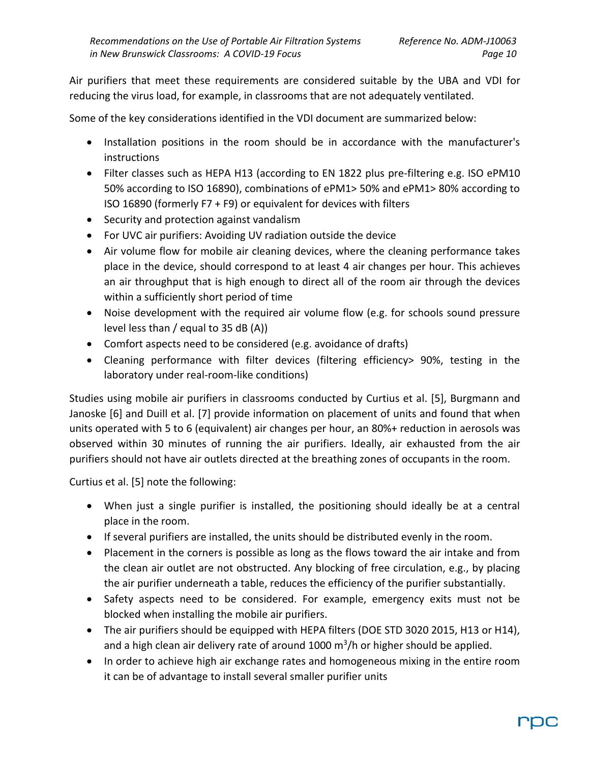Air purifiers that meet these requirements are considered suitable by the UBA and VDI for reducing the virus load, for example, in classrooms that are not adequately ventilated.

Some of the key considerations identified in the VDI document are summarized below:

- Installation positions in the room should be in accordance with the manufacturer's instructions
- Filter classes such as HEPA H13 (according to EN 1822 plus pre-filtering e.g. ISO ePM10 50% according to ISO 16890), combinations of ePM1> 50% and ePM1> 80% according to ISO 16890 (formerly F7 + F9) or equivalent for devices with filters
- Security and protection against vandalism
- For UVC air purifiers: Avoiding UV radiation outside the device
- Air volume flow for mobile air cleaning devices, where the cleaning performance takes place in the device, should correspond to at least 4 air changes per hour. This achieves an air throughput that is high enough to direct all of the room air through the devices within a sufficiently short period of time
- Noise development with the required air volume flow (e.g. for schools sound pressure level less than / equal to 35 dB (A))
- Comfort aspects need to be considered (e.g. avoidance of drafts)
- Cleaning performance with filter devices (filtering efficiency> 90%, testing in the laboratory under real-room-like conditions)

Studies using mobile air purifiers in classrooms conducted by Curtius et al. [5], Burgmann and Janoske [6] and Duill et al. [7] provide information on placement of units and found that when units operated with 5 to 6 (equivalent) air changes per hour, an 80%+ reduction in aerosols was observed within 30 minutes of running the air purifiers. Ideally, air exhausted from the air purifiers should not have air outlets directed at the breathing zones of occupants in the room.

Curtius et al. [5] note the following:

- When just a single purifier is installed, the positioning should ideally be at a central place in the room.
- If several purifiers are installed, the units should be distributed evenly in the room.
- Placement in the corners is possible as long as the flows toward the air intake and from the clean air outlet are not obstructed. Any blocking of free circulation, e.g., by placing the air purifier underneath a table, reduces the efficiency of the purifier substantially.
- Safety aspects need to be considered. For example, emergency exits must not be blocked when installing the mobile air purifiers.
- The air purifiers should be equipped with HEPA filters (DOE STD 3020 2015, H13 or H14), and a high clean air delivery rate of around 1000 m<sup>3</sup>/h or higher should be applied.
- In order to achieve high air exchange rates and homogeneous mixing in the entire room it can be of advantage to install several smaller purifier units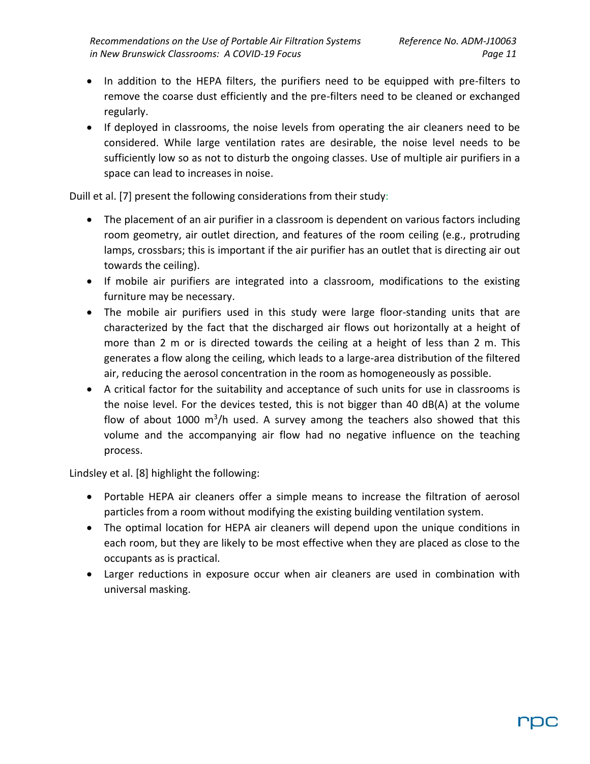- In addition to the HEPA filters, the purifiers need to be equipped with pre-filters to remove the coarse dust efficiently and the pre-filters need to be cleaned or exchanged regularly.
- If deployed in classrooms, the noise levels from operating the air cleaners need to be considered. While large ventilation rates are desirable, the noise level needs to be sufficiently low so as not to disturb the ongoing classes. Use of multiple air purifiers in a space can lead to increases in noise.

Duill et al. [7] present the following considerations from their study:

- The placement of an air purifier in a classroom is dependent on various factors including room geometry, air outlet direction, and features of the room ceiling (e.g., protruding lamps, crossbars; this is important if the air purifier has an outlet that is directing air out towards the ceiling).
- If mobile air purifiers are integrated into a classroom, modifications to the existing furniture may be necessary.
- The mobile air purifiers used in this study were large floor-standing units that are characterized by the fact that the discharged air flows out horizontally at a height of more than 2 m or is directed towards the ceiling at a height of less than 2 m. This generates a flow along the ceiling, which leads to a large-area distribution of the filtered air, reducing the aerosol concentration in the room as homogeneously as possible.
- A critical factor for the suitability and acceptance of such units for use in classrooms is the noise level. For the devices tested, this is not bigger than 40 dB(A) at the volume flow of about 1000  $m^3/h$  used. A survey among the teachers also showed that this volume and the accompanying air flow had no negative influence on the teaching process.

Lindsley et al. [8] highlight the following:

- Portable HEPA air cleaners offer a simple means to increase the filtration of aerosol particles from a room without modifying the existing building ventilation system.
- The optimal location for HEPA air cleaners will depend upon the unique conditions in each room, but they are likely to be most effective when they are placed as close to the occupants as is practical.
- Larger reductions in exposure occur when air cleaners are used in combination with universal masking.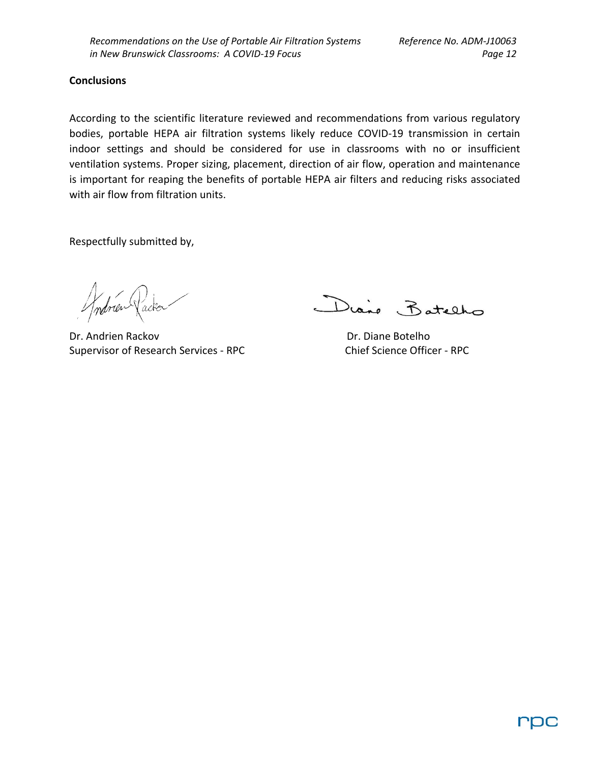#### **Conclusions**

According to the scientific literature reviewed and recommendations from various regulatory bodies, portable HEPA air filtration systems likely reduce COVID-19 transmission in certain indoor settings and should be considered for use in classrooms with no or insufficient ventilation systems. Proper sizing, placement, direction of air flow, operation and maintenance is important for reaping the benefits of portable HEPA air filters and reducing risks associated with air flow from filtration units.

Respectfully submitted by,

Dr. Andrien Rackov Dr. Diane Botelho Supervisor of Research Services - RPC Chief Science Officer - RPC

Diane Batelho

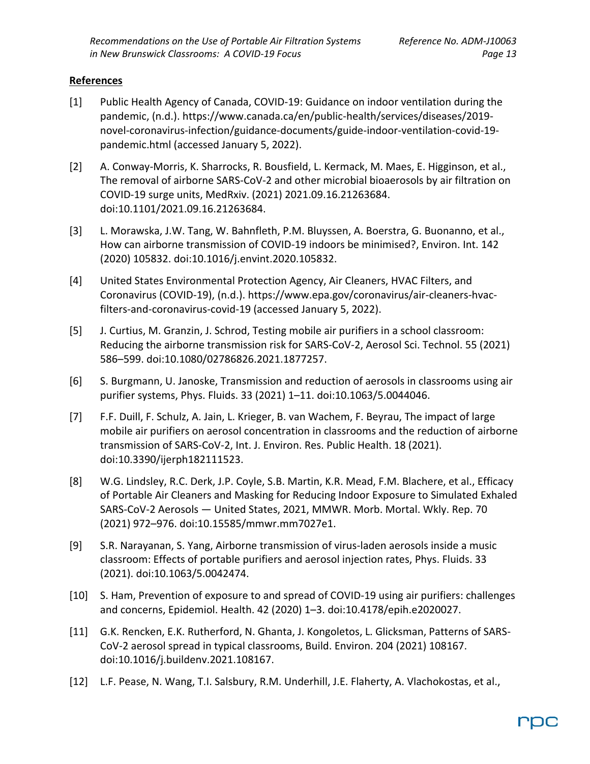## **References**

- [1] Public Health Agency of Canada, COVID-19: Guidance on indoor ventilation during the pandemic, (n.d.). https://www.canada.ca/en/public-health/services/diseases/2019 novel-coronavirus-infection/guidance-documents/guide-indoor-ventilation-covid-19 pandemic.html (accessed January 5, 2022).
- [2] A. Conway-Morris, K. Sharrocks, R. Bousfield, L. Kermack, M. Maes, E. Higginson, et al., The removal of airborne SARS-CoV-2 and other microbial bioaerosols by air filtration on COVID-19 surge units, MedRxiv. (2021) 2021.09.16.21263684. doi:10.1101/2021.09.16.21263684.
- [3] L. Morawska, J.W. Tang, W. Bahnfleth, P.M. Bluyssen, A. Boerstra, G. Buonanno, et al., How can airborne transmission of COVID-19 indoors be minimised?, Environ. Int. 142 (2020) 105832. doi:10.1016/j.envint.2020.105832.
- [4] United States Environmental Protection Agency, Air Cleaners, HVAC Filters, and Coronavirus (COVID-19), (n.d.). https://www.epa.gov/coronavirus/air-cleaners-hvacfilters-and-coronavirus-covid-19 (accessed January 5, 2022).
- [5] J. Curtius, M. Granzin, J. Schrod, Testing mobile air purifiers in a school classroom: Reducing the airborne transmission risk for SARS-CoV-2, Aerosol Sci. Technol. 55 (2021) 586–599. doi:10.1080/02786826.2021.1877257.
- [6] S. Burgmann, U. Janoske, Transmission and reduction of aerosols in classrooms using air purifier systems, Phys. Fluids. 33 (2021) 1–11. doi:10.1063/5.0044046.
- [7] F.F. Duill, F. Schulz, A. Jain, L. Krieger, B. van Wachem, F. Beyrau, The impact of large mobile air purifiers on aerosol concentration in classrooms and the reduction of airborne transmission of SARS-CoV-2, Int. J. Environ. Res. Public Health. 18 (2021). doi:10.3390/ijerph182111523.
- [8] W.G. Lindsley, R.C. Derk, J.P. Coyle, S.B. Martin, K.R. Mead, F.M. Blachere, et al., Efficacy of Portable Air Cleaners and Masking for Reducing Indoor Exposure to Simulated Exhaled SARS-CoV-2 Aerosols — United States, 2021, MMWR. Morb. Mortal. Wkly. Rep. 70 (2021) 972–976. doi:10.15585/mmwr.mm7027e1.
- [9] S.R. Narayanan, S. Yang, Airborne transmission of virus-laden aerosols inside a music classroom: Effects of portable purifiers and aerosol injection rates, Phys. Fluids. 33 (2021). doi:10.1063/5.0042474.
- [10] S. Ham, Prevention of exposure to and spread of COVID-19 using air purifiers: challenges and concerns, Epidemiol. Health. 42 (2020) 1–3. doi:10.4178/epih.e2020027.
- [11] G.K. Rencken, E.K. Rutherford, N. Ghanta, J. Kongoletos, L. Glicksman, Patterns of SARS-CoV-2 aerosol spread in typical classrooms, Build. Environ. 204 (2021) 108167. doi:10.1016/j.buildenv.2021.108167.
- [12] L.F. Pease, N. Wang, T.I. Salsbury, R.M. Underhill, J.E. Flaherty, A. Vlachokostas, et al.,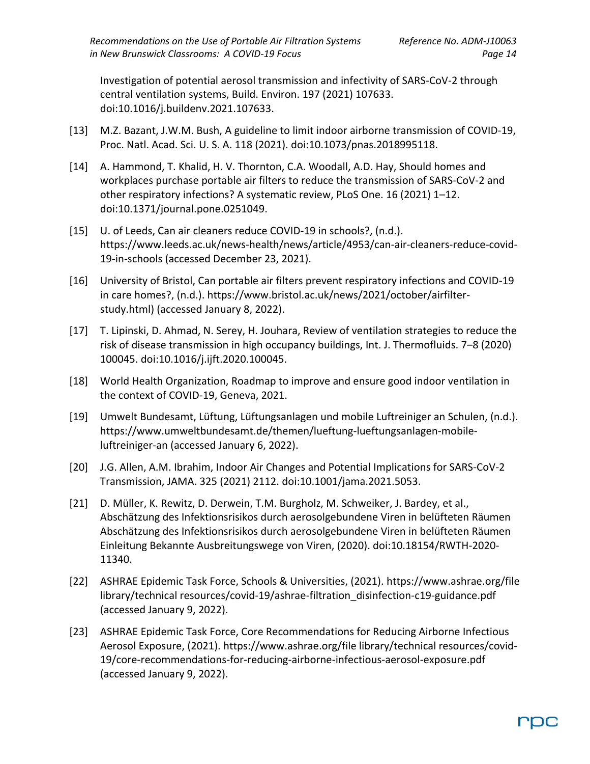Investigation of potential aerosol transmission and infectivity of SARS-CoV-2 through central ventilation systems, Build. Environ. 197 (2021) 107633. doi:10.1016/j.buildenv.2021.107633.

- [13] M.Z. Bazant, J.W.M. Bush, A guideline to limit indoor airborne transmission of COVID-19, Proc. Natl. Acad. Sci. U. S. A. 118 (2021). doi:10.1073/pnas.2018995118.
- [14] A. Hammond, T. Khalid, H. V. Thornton, C.A. Woodall, A.D. Hay, Should homes and workplaces purchase portable air filters to reduce the transmission of SARS-CoV-2 and other respiratory infections? A systematic review, PLoS One. 16 (2021) 1–12. doi:10.1371/journal.pone.0251049.
- [15] U. of Leeds, Can air cleaners reduce COVID-19 in schools?, (n.d.). https://www.leeds.ac.uk/news-health/news/article/4953/can-air-cleaners-reduce-covid-19-in-schools (accessed December 23, 2021).
- [16] University of Bristol, Can portable air filters prevent respiratory infections and COVID-19 in care homes?, (n.d.). https://www.bristol.ac.uk/news/2021/october/airfilterstudy.html) (accessed January 8, 2022).
- [17] T. Lipinski, D. Ahmad, N. Serey, H. Jouhara, Review of ventilation strategies to reduce the risk of disease transmission in high occupancy buildings, Int. J. Thermofluids. 7–8 (2020) 100045. doi:10.1016/j.ijft.2020.100045.
- [18] World Health Organization, Roadmap to improve and ensure good indoor ventilation in the context of COVID-19, Geneva, 2021.
- [19] Umwelt Bundesamt, Lüftung, Lüftungsanlagen und mobile Luftreiniger an Schulen, (n.d.). https://www.umweltbundesamt.de/themen/lueftung-lueftungsanlagen-mobileluftreiniger-an (accessed January 6, 2022).
- [20] J.G. Allen, A.M. Ibrahim, Indoor Air Changes and Potential Implications for SARS-CoV-2 Transmission, JAMA. 325 (2021) 2112. doi:10.1001/jama.2021.5053.
- [21] D. Müller, K. Rewitz, D. Derwein, T.M. Burgholz, M. Schweiker, J. Bardey, et al., Abschätzung des Infektionsrisikos durch aerosolgebundene Viren in belüfteten Räumen Abschätzung des Infektionsrisikos durch aerosolgebundene Viren in belüfteten Räumen Einleitung Bekannte Ausbreitungswege von Viren, (2020). doi:10.18154/RWTH-2020- 11340.
- [22] ASHRAE Epidemic Task Force, Schools & Universities, (2021). https://www.ashrae.org/file library/technical resources/covid-19/ashrae-filtration\_disinfection-c19-guidance.pdf (accessed January 9, 2022).
- [23] ASHRAE Epidemic Task Force, Core Recommendations for Reducing Airborne Infectious Aerosol Exposure, (2021). https://www.ashrae.org/file library/technical resources/covid-19/core-recommendations-for-reducing-airborne-infectious-aerosol-exposure.pdf (accessed January 9, 2022).